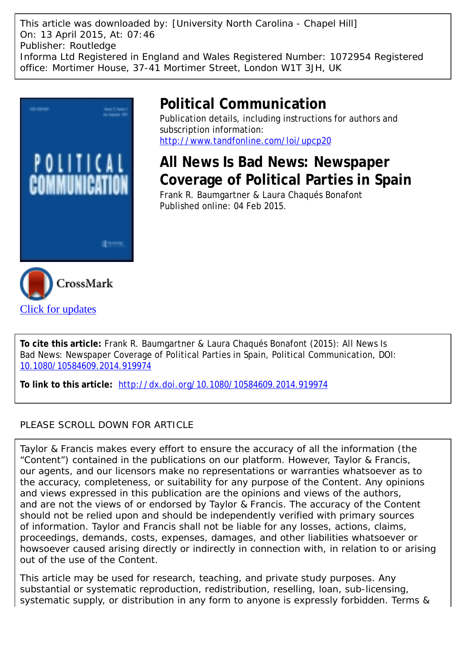This article was downloaded by: [University North Carolina - Chapel Hill] On: 13 April 2015, At: 07:46 Publisher: Routledge Informa Ltd Registered in England and Wales Registered Number: 1072954 Registered office: Mortimer House, 37-41 Mortimer Street, London W1T 3JH, UK



# **Political Communication**

Publication details, including instructions for authors and subscription information: <http://www.tandfonline.com/loi/upcp20>

**All News Is Bad News: Newspaper Coverage of Political Parties in Spain**

Frank R. Baumgartner & Laura Chaqués Bonafont Published online: 04 Feb 2015.



**To cite this article:** Frank R. Baumgartner & Laura Chaqués Bonafont (2015): All News Is Bad News: Newspaper Coverage of Political Parties in Spain, Political Communication, DOI: [10.1080/10584609.2014.919974](http://www.tandfonline.com/action/showCitFormats?doi=10.1080/10584609.2014.919974)

**To link to this article:** <http://dx.doi.org/10.1080/10584609.2014.919974>

## PLEASE SCROLL DOWN FOR ARTICLE

Taylor & Francis makes every effort to ensure the accuracy of all the information (the "Content") contained in the publications on our platform. However, Taylor & Francis, our agents, and our licensors make no representations or warranties whatsoever as to the accuracy, completeness, or suitability for any purpose of the Content. Any opinions and views expressed in this publication are the opinions and views of the authors, and are not the views of or endorsed by Taylor & Francis. The accuracy of the Content should not be relied upon and should be independently verified with primary sources of information. Taylor and Francis shall not be liable for any losses, actions, claims, proceedings, demands, costs, expenses, damages, and other liabilities whatsoever or howsoever caused arising directly or indirectly in connection with, in relation to or arising out of the use of the Content.

This article may be used for research, teaching, and private study purposes. Any substantial or systematic reproduction, redistribution, reselling, loan, sub-licensing, systematic supply, or distribution in any form to anyone is expressly forbidden. Terms &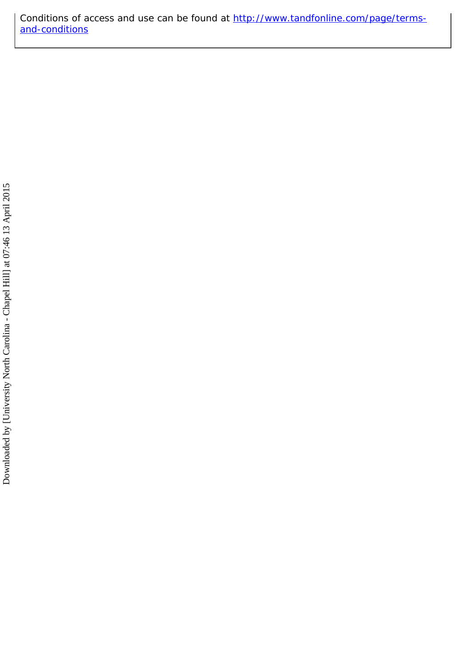Conditions of access and use can be found at [http://www.tandfonline.com/page/terms](http://www.tandfonline.com/page/terms-and-conditions)[and-conditions](http://www.tandfonline.com/page/terms-and-conditions)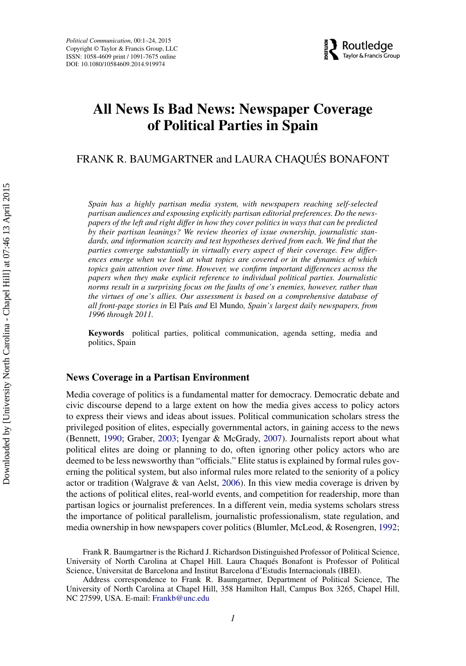

## **All News Is Bad News: Newspaper Coverage of Political Parties in Spain**

### FRANK R. BAUMGARTNER and LAURA CHAQUÉS BONAFONT

*Spain has a highly partisan media system, with newspapers reaching self-selected partisan audiences and espousing explicitly partisan editorial preferences. Do the newspapers of the left and right differ in how they cover politics in ways that can be predicted by their partisan leanings? We review theories of issue ownership, journalistic standards, and information scarcity and test hypotheses derived from each. We find that the parties converge substantially in virtually every aspect of their coverage. Few differences emerge when we look at what topics are covered or in the dynamics of which topics gain attention over time. However, we confirm important differences across the papers when they make explicit reference to individual political parties. Journalistic norms result in a surprising focus on the faults of one's enemies, however, rather than the virtues of one's allies. Our assessment is based on a comprehensive database of all front-page stories in* El País *and* El Mundo*, Spain's largest daily newspapers, from 1996 through 2011.*

**Keywords** political parties, political communication, agenda setting, media and politics, Spain

#### **News Coverage in a Partisan Environment**

Media coverage of politics is a fundamental matter for democracy. Democratic debate and civic discourse depend to a large extent on how the media gives access to policy actors to express their views and ideas about issues. Political communication scholars stress the privileged position of elites, especially governmental actors, in gaining access to the news (Bennett, [1990;](#page-22-0) Graber, [2003;](#page-23-0) Iyengar & McGrady, [2007\)](#page-23-1). Journalists report about what political elites are doing or planning to do, often ignoring other policy actors who are deemed to be less newsworthy than "officials." Elite status is explained by formal rules governing the political system, but also informal rules more related to the seniority of a policy actor or tradition (Walgrave  $\&$  van Aelst, [2006\)](#page-24-0). In this view media coverage is driven by the actions of political elites, real-world events, and competition for readership, more than partisan logics or journalist preferences. In a different vein, media systems scholars stress the importance of political parallelism, journalistic professionalism, state regulation, and media ownership in how newspapers cover politics (Blumler, McLeod, & Rosengren, [1992;](#page-22-1)

Frank R. Baumgartner is the Richard J. Richardson Distinguished Professor of Political Science, University of North Carolina at Chapel Hill. Laura Chaqués Bonafont is Professor of Political Science, Universitat de Barcelona and Institut Barcelona d'Estudis Internacionals (IBEI).

Address correspondence to Frank R. Baumgartner, Department of Political Science, The University of North Carolina at Chapel Hill, 358 Hamilton Hall, Campus Box 3265, Chapel Hill, NC 27599, USA. E-mail: [Frankb@unc.edu](mailto:Frankb@unc.edu)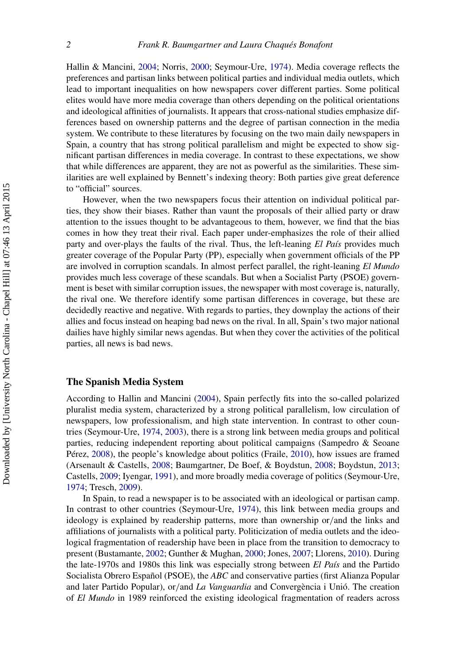Hallin & Mancini, [2004;](#page-23-2) Norris, [2000;](#page-24-1) Seymour-Ure, [1974\)](#page-24-2). Media coverage reflects the preferences and partisan links between political parties and individual media outlets, which lead to important inequalities on how newspapers cover different parties. Some political elites would have more media coverage than others depending on the political orientations and ideological affinities of journalists. It appears that cross-national studies emphasize differences based on ownership patterns and the degree of partisan connection in the media system. We contribute to these literatures by focusing on the two main daily newspapers in Spain, a country that has strong political parallelism and might be expected to show significant partisan differences in media coverage. In contrast to these expectations, we show that while differences are apparent, they are not as powerful as the similarities. These similarities are well explained by Bennett's indexing theory: Both parties give great deference to "official" sources.

However, when the two newspapers focus their attention on individual political parties, they show their biases. Rather than vaunt the proposals of their allied party or draw attention to the issues thought to be advantageous to them, however, we find that the bias comes in how they treat their rival. Each paper under-emphasizes the role of their allied party and over-plays the faults of the rival. Thus, the left-leaning *El País* provides much greater coverage of the Popular Party (PP), especially when government officials of the PP are involved in corruption scandals. In almost perfect parallel, the right-leaning *El Mundo* provides much less coverage of these scandals. But when a Socialist Party (PSOE) government is beset with similar corruption issues, the newspaper with most coverage is, naturally, the rival one. We therefore identify some partisan differences in coverage, but these are decidedly reactive and negative. With regards to parties, they downplay the actions of their allies and focus instead on heaping bad news on the rival. In all, Spain's two major national dailies have highly similar news agendas. But when they cover the activities of the political parties, all news is bad news.

#### **The Spanish Media System**

According to Hallin and Mancini [\(2004\)](#page-23-2), Spain perfectly fits into the so-called polarized pluralist media system, characterized by a strong political parallelism, low circulation of newspapers, low professionalism, and high state intervention. In contrast to other countries (Seymour-Ure, [1974,](#page-24-2) [2003\)](#page-24-3), there is a strong link between media groups and political parties, reducing independent reporting about political campaigns (Sampedro & Seoane Pérez, [2008\)](#page-24-4), the people's knowledge about politics (Fraile, [2010\)](#page-23-3), how issues are framed (Arsenault & Castells, [2008;](#page-22-2) Baumgartner, De Boef, & Boydstun, [2008;](#page-22-3) Boydstun, [2013;](#page-22-4) Castells, [2009;](#page-23-4) Iyengar, [1991\)](#page-23-5), and more broadly media coverage of politics (Seymour-Ure, [1974;](#page-24-2) Tresch, [2009\)](#page-24-5).

In Spain, to read a newspaper is to be associated with an ideological or partisan camp. In contrast to other countries (Seymour-Ure, [1974\)](#page-24-2), this link between media groups and ideology is explained by readership patterns, more than ownership or*/*and the links and affiliations of journalists with a political party. Politicization of media outlets and the ideological fragmentation of readership have been in place from the transition to democracy to present (Bustamante, [2002;](#page-23-6) Gunther & Mughan, [2000;](#page-23-7) Jones, [2007;](#page-23-8) Llorens, [2010\)](#page-23-9). During the late-1970s and 1980s this link was especially strong between *El País* and the Partido Socialista Obrero Español (PSOE), the *ABC* and conservative parties (first Alianza Popular and later Partido Popular), or*/*and *La Vanguardia* and Convergència i Unió. The creation of *El Mundo* in 1989 reinforced the existing ideological fragmentation of readers across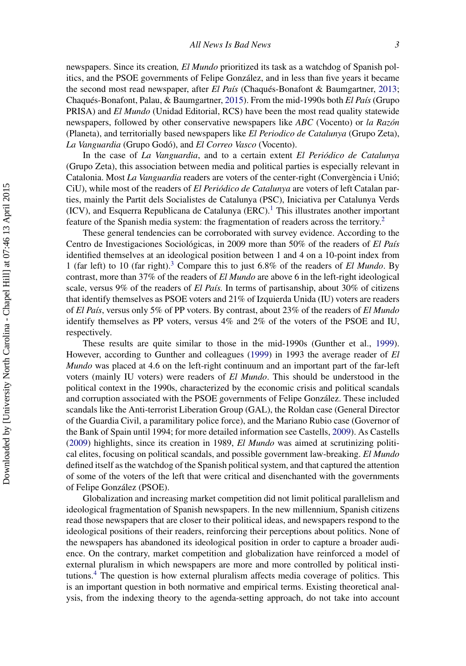newspapers. Since its creation*, El Mundo* prioritized its task as a watchdog of Spanish politics, and the PSOE governments of Felipe González, and in less than five years it became the second most read newspaper, after *El País* (Chaqués-Bonafont & Baumgartner, [2013;](#page-23-10) Chaqués-Bonafont, Palau, & Baumgartner, [2015\)](#page-23-11). From the mid-1990s both *El País* (Grupo PRISA) and *El Mundo* (Unidad Editorial, RCS) have been the most read quality statewide newspapers, followed by other conservative newspapers like *ABC* (Vocento) or *la Razón* (Planeta), and territorially based newspapers like *El Periodico de Catalunya* (Grupo Zeta), *La Vanguardia* (Grupo Godó), and *El Correo Vasco* (Vocento).

In the case of *La Vanguardia*, and to a certain extent *El Periódico de Catalunya* (Grupo Zeta), this association between media and political parties is especially relevant in Catalonia. Most *La Vanguardia* readers are voters of the center-right (Convergència i Unió; CiU), while most of the readers of *El Periódico de Catalunya* are voters of left Catalan parties, mainly the Partit dels Socialistes de Catalunya (PSC), Iniciativa per Catalunya Verds (ICV), and Esquerra Republicana de Catalunya (ERC).[1](#page-22-5) This illustrates another important feature of the Spanish media system: the fragmentation of readers across the territory.<sup>2</sup>

These general tendencies can be corroborated with survey evidence. According to the Centro de Investigaciones Sociológicas, in 2009 more than 50% of the readers of *El País* identified themselves at an ideological position between 1 and 4 on a 10-point index from 1 (far left) to 10 (far right).[3](#page-22-7) Compare this to just 6.8% of the readers of *El Mundo*. By contrast, more than 37% of the readers of *El Mundo* are above 6 in the left-right ideological scale, versus 9% of the readers of *El País.* In terms of partisanship, about 30% of citizens that identify themselves as PSOE voters and 21% of Izquierda Unida (IU) voters are readers of *El País*, versus only 5% of PP voters. By contrast, about 23% of the readers of *El Mundo* identify themselves as PP voters, versus 4% and 2% of the voters of the PSOE and IU, respectively.

These results are quite similar to those in the mid-1990s (Gunther et al., [1999\)](#page-23-12). However, according to Gunther and colleagues [\(1999\)](#page-23-12) in 1993 the average reader of *El Mundo* was placed at 4.6 on the left-right continuum and an important part of the far-left voters (mainly IU voters) were readers of *El Mundo*. This should be understood in the political context in the 1990s, characterized by the economic crisis and political scandals and corruption associated with the PSOE governments of Felipe González. These included scandals like the Anti-terrorist Liberation Group (GAL), the Roldan case (General Director of the Guardia Civil, a paramilitary police force), and the Mariano Rubio case (Governor of the Bank of Spain until 1994; for more detailed information see Castells, [2009\)](#page-23-4). As Castells [\(2009\)](#page-23-4) highlights, since its creation in 1989, *El Mundo* was aimed at scrutinizing political elites, focusing on political scandals, and possible government law-breaking. *El Mundo* defined itself as the watchdog of the Spanish political system, and that captured the attention of some of the voters of the left that were critical and disenchanted with the governments of Felipe González (PSOE).

Globalization and increasing market competition did not limit political parallelism and ideological fragmentation of Spanish newspapers. In the new millennium, Spanish citizens read those newspapers that are closer to their political ideas, and newspapers respond to the ideological positions of their readers, reinforcing their perceptions about politics. None of the newspapers has abandoned its ideological position in order to capture a broader audience. On the contrary, market competition and globalization have reinforced a model of external pluralism in which newspapers are more and more controlled by political institutions.[4](#page-22-8) The question is how external pluralism affects media coverage of politics. This is an important question in both normative and empirical terms. Existing theoretical analysis, from the indexing theory to the agenda-setting approach, do not take into account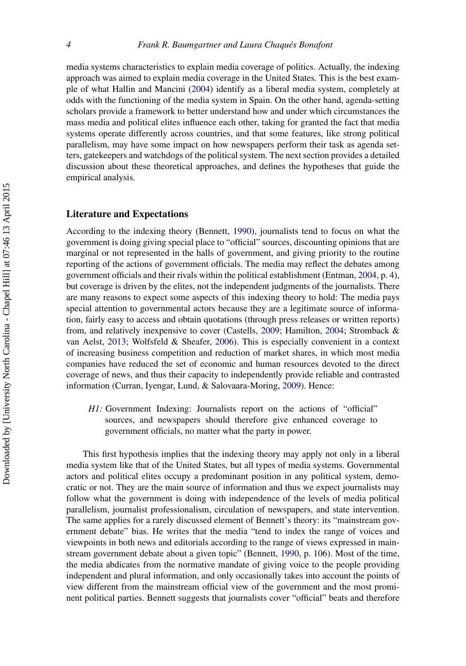media systems characteristics to explain media coverage of politics. Actually, the indexing approach was aimed to explain media coverage in the United States. This is the best example of what Hallin and Mancini [\(2004\)](#page-23-2) identify as a liberal media system, completely at odds with the functioning of the media system in Spain. On the other hand, agenda-setting scholars provide a framework to better understand how and under which circumstances the mass media and political elites influence each other, taking for granted the fact that media systems operate differently across countries, and that some features, like strong political parallelism, may have some impact on how newspapers perform their task as agenda setters, gatekeepers and watchdogs of the political system. The next section provides a detailed discussion about these theoretical approaches, and defines the hypotheses that guide the empirical analysis.

#### **Literature and Expectations**

According to the indexing theory (Bennett, [1990\)](#page-22-0), journalists tend to focus on what the government is doing giving special place to "official" sources, discounting opinions that are marginal or not represented in the halls of government, and giving priority to the routine reporting of the actions of government officials. The media may reflect the debates among government officials and their rivals within the political establishment (Entman, [2004,](#page-23-13) p. 4), but coverage is driven by the elites, not the independent judgments of the journalists. There are many reasons to expect some aspects of this indexing theory to hold: The media pays special attention to governmental actors because they are a legitimate source of information, fairly easy to access and obtain quotations (through press releases or written reports) from, and relatively inexpensive to cover (Castells, [2009;](#page-23-4) Hamilton, [2004;](#page-23-14) Stromback & van Aelst, [2013;](#page-24-6) Wolfsfeld & Sheafer, [2006\)](#page-24-7). This is especially convenient in a context of increasing business competition and reduction of market shares, in which most media companies have reduced the set of economic and human resources devoted to the direct coverage of news, and thus their capacity to independently provide reliable and contrasted information (Curran, Iyengar, Lund, & Salovaara-Moring, [2009\)](#page-23-15). Hence:

*H1:* Government Indexing: Journalists report on the actions of "official" sources, and newspapers should therefore give enhanced coverage to government officials, no matter what the party in power.

This first hypothesis implies that the indexing theory may apply not only in a liberal media system like that of the United States, but all types of media systems. Governmental actors and political elites occupy a predominant position in any political system, democratic or not. They are the main source of information and thus we expect journalists may follow what the government is doing with independence of the levels of media political parallelism, journalist professionalism, circulation of newspapers, and state intervention. The same applies for a rarely discussed element of Bennett's theory: its "mainstream government debate" bias. He writes that the media "tend to index the range of voices and viewpoints in both news and editorials according to the range of views expressed in mainstream government debate about a given topic" (Bennett, [1990,](#page-22-0) p. 106). Most of the time, the media abdicates from the normative mandate of giving voice to the people providing independent and plural information, and only occasionally takes into account the points of view different from the mainstream official view of the government and the most prominent political parties. Bennett suggests that journalists cover "official" beats and therefore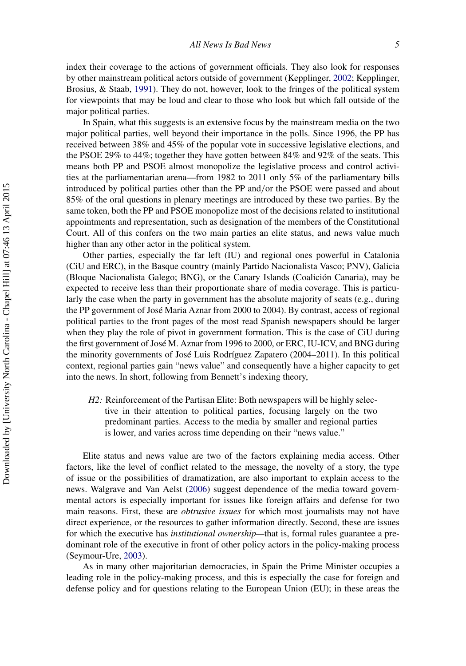index their coverage to the actions of government officials. They also look for responses by other mainstream political actors outside of government (Kepplinger, [2002;](#page-23-16) Kepplinger, Brosius, & Staab, [1991\)](#page-23-17). They do not, however, look to the fringes of the political system for viewpoints that may be loud and clear to those who look but which fall outside of the major political parties.

In Spain, what this suggests is an extensive focus by the mainstream media on the two major political parties, well beyond their importance in the polls. Since 1996, the PP has received between 38% and 45% of the popular vote in successive legislative elections, and the PSOE 29% to 44%; together they have gotten between 84% and 92% of the seats. This means both PP and PSOE almost monopolize the legislative process and control activities at the parliamentarian arena—from 1982 to 2011 only 5% of the parliamentary bills introduced by political parties other than the PP and*/*or the PSOE were passed and about 85% of the oral questions in plenary meetings are introduced by these two parties. By the same token, both the PP and PSOE monopolize most of the decisions related to institutional appointments and representation, such as designation of the members of the Constitutional Court. All of this confers on the two main parties an elite status, and news value much higher than any other actor in the political system.

Other parties, especially the far left (IU) and regional ones powerful in Catalonia (CiU and ERC), in the Basque country (mainly Partido Nacionalista Vasco; PNV), Galicia (Bloque Nacionalista Galego; BNG), or the Canary Islands (Coalición Canaria), may be expected to receive less than their proportionate share of media coverage. This is particularly the case when the party in government has the absolute majority of seats (e.g., during the PP government of José Maria Aznar from 2000 to 2004). By contrast, access of regional political parties to the front pages of the most read Spanish newspapers should be larger when they play the role of pivot in government formation. This is the case of CiU during the first government of José M. Aznar from 1996 to 2000, or ERC, IU-ICV, and BNG during the minority governments of José Luis Rodríguez Zapatero (2004–2011). In this political context, regional parties gain "news value" and consequently have a higher capacity to get into the news. In short, following from Bennett's indexing theory,

*H2*: Reinforcement of the Partisan Elite: Both newspapers will be highly selective in their attention to political parties, focusing largely on the two predominant parties. Access to the media by smaller and regional parties is lower, and varies across time depending on their "news value."

Elite status and news value are two of the factors explaining media access. Other factors, like the level of conflict related to the message, the novelty of a story, the type of issue or the possibilities of dramatization, are also important to explain access to the news. Walgrave and Van Aelst [\(2006\)](#page-24-0) suggest dependence of the media toward governmental actors is especially important for issues like foreign affairs and defense for two main reasons. First, these are *obtrusive issues* for which most journalists may not have direct experience, or the resources to gather information directly. Second, these are issues for which the executive has *institutional ownership—*that is, formal rules guarantee a predominant role of the executive in front of other policy actors in the policy-making process (Seymour-Ure, [2003\)](#page-24-3).

As in many other majoritarian democracies, in Spain the Prime Minister occupies a leading role in the policy-making process, and this is especially the case for foreign and defense policy and for questions relating to the European Union (EU); in these areas the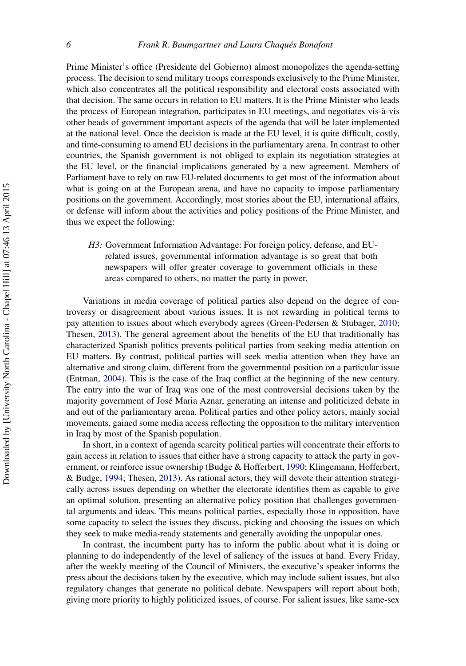Prime Minister's office (Presidente del Gobierno) almost monopolizes the agenda-setting process. The decision to send military troops corresponds exclusively to the Prime Minister, which also concentrates all the political responsibility and electoral costs associated with that decision. The same occurs in relation to EU matters. It is the Prime Minister who leads the process of European integration, participates in EU meetings, and negotiates vis-à-vis other heads of government important aspects of the agenda that will be later implemented at the national level. Once the decision is made at the EU level, it is quite difficult, costly, and time-consuming to amend EU decisions in the parliamentary arena. In contrast to other countries, the Spanish government is not obliged to explain its negotiation strategies at the EU level, or the financial implications generated by a new agreement. Members of Parliament have to rely on raw EU-related documents to get most of the information about what is going on at the European arena, and have no capacity to impose parliamentary positions on the government. Accordingly, most stories about the EU, international affairs, or defense will inform about the activities and policy positions of the Prime Minister, and thus we expect the following:

*H3:* Government Information Advantage: For foreign policy, defense, and EUrelated issues, governmental information advantage is so great that both newspapers will offer greater coverage to government officials in these areas compared to others, no matter the party in power.

Variations in media coverage of political parties also depend on the degree of controversy or disagreement about various issues. It is not rewarding in political terms to pay attention to issues about which everybody agrees (Green-Pedersen & Stubager, [2010;](#page-23-18) Thesen, [2013\)](#page-24-8). The general agreement about the benefits of the EU that traditionally has characterized Spanish politics prevents political parties from seeking media attention on EU matters. By contrast, political parties will seek media attention when they have an alternative and strong claim, different from the governmental position on a particular issue (Entman, [2004\)](#page-23-13). This is the case of the Iraq conflict at the beginning of the new century. The entry into the war of Iraq was one of the most controversial decisions taken by the majority government of José Maria Aznar, generating an intense and politicized debate in and out of the parliamentary arena. Political parties and other policy actors, mainly social movements, gained some media access reflecting the opposition to the military intervention in Iraq by most of the Spanish population.

In short, in a context of agenda scarcity political parties will concentrate their efforts to gain access in relation to issues that either have a strong capacity to attack the party in government, or reinforce issue ownership (Budge & Hofferbert, [1990;](#page-23-19) Klingemann, Hofferbert, & Budge, [1994;](#page-23-20) Thesen, [2013\)](#page-24-8). As rational actors, they will devote their attention strategically across issues depending on whether the electorate identifies them as capable to give an optimal solution, presenting an alternative policy position that challenges governmental arguments and ideas. This means political parties, especially those in opposition, have some capacity to select the issues they discuss, picking and choosing the issues on which they seek to make media-ready statements and generally avoiding the unpopular ones.

In contrast, the incumbent party has to inform the public about what it is doing or planning to do independently of the level of saliency of the issues at hand. Every Friday, after the weekly meeting of the Council of Ministers, the executive's speaker informs the press about the decisions taken by the executive, which may include salient issues, but also regulatory changes that generate no political debate. Newspapers will report about both, giving more priority to highly politicized issues, of course. For salient issues, like same-sex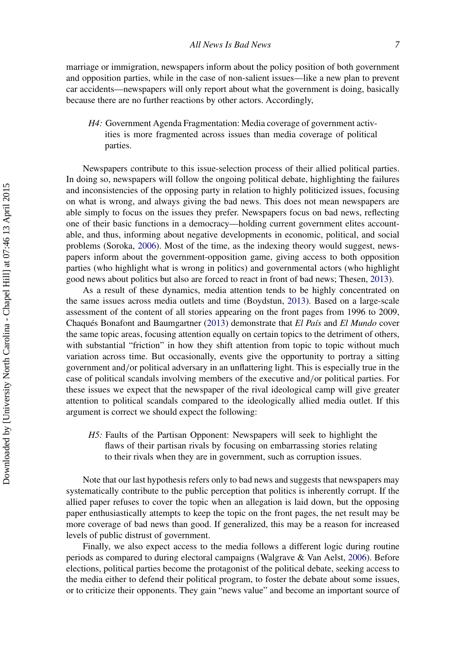marriage or immigration, newspapers inform about the policy position of both government and opposition parties, while in the case of non-salient issues—like a new plan to prevent car accidents—newspapers will only report about what the government is doing, basically because there are no further reactions by other actors. Accordingly,

*H4:* Government Agenda Fragmentation: Media coverage of government activities is more fragmented across issues than media coverage of political parties.

Newspapers contribute to this issue-selection process of their allied political parties. In doing so, newspapers will follow the ongoing political debate, highlighting the failures and inconsistencies of the opposing party in relation to highly politicized issues, focusing on what is wrong, and always giving the bad news. This does not mean newspapers are able simply to focus on the issues they prefer. Newspapers focus on bad news, reflecting one of their basic functions in a democracy—holding current government elites accountable, and thus, informing about negative developments in economic, political, and social problems (Soroka, [2006\)](#page-24-9). Most of the time, as the indexing theory would suggest, newspapers inform about the government-opposition game, giving access to both opposition parties (who highlight what is wrong in politics) and governmental actors (who highlight good news about politics but also are forced to react in front of bad news; Thesen, [2013\)](#page-24-8).

As a result of these dynamics, media attention tends to be highly concentrated on the same issues across media outlets and time (Boydstun, [2013\)](#page-22-4). Based on a large-scale assessment of the content of all stories appearing on the front pages from 1996 to 2009, Chaqués Bonafont and Baumgartner [\(2013\)](#page-23-10) demonstrate that *El País* and *El Mundo* cover the same topic areas, focusing attention equally on certain topics to the detriment of others, with substantial "friction" in how they shift attention from topic to topic without much variation across time. But occasionally, events give the opportunity to portray a sitting government and*/*or political adversary in an unflattering light. This is especially true in the case of political scandals involving members of the executive and*/*or political parties. For these issues we expect that the newspaper of the rival ideological camp will give greater attention to political scandals compared to the ideologically allied media outlet. If this argument is correct we should expect the following:

*H5:* Faults of the Partisan Opponent: Newspapers will seek to highlight the flaws of their partisan rivals by focusing on embarrassing stories relating to their rivals when they are in government, such as corruption issues.

Note that our last hypothesis refers only to bad news and suggests that newspapers may systematically contribute to the public perception that politics is inherently corrupt. If the allied paper refuses to cover the topic when an allegation is laid down, but the opposing paper enthusiastically attempts to keep the topic on the front pages, the net result may be more coverage of bad news than good. If generalized, this may be a reason for increased levels of public distrust of government.

Finally, we also expect access to the media follows a different logic during routine periods as compared to during electoral campaigns (Walgrave & Van Aelst, [2006\)](#page-24-0). Before elections, political parties become the protagonist of the political debate, seeking access to the media either to defend their political program, to foster the debate about some issues, or to criticize their opponents. They gain "news value" and become an important source of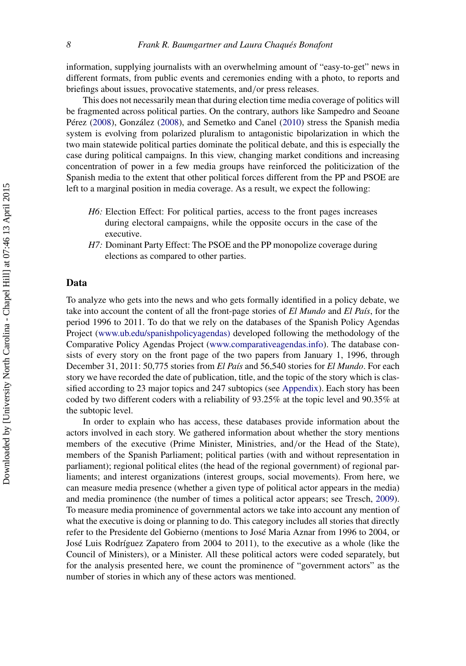information, supplying journalists with an overwhelming amount of "easy-to-get" news in different formats, from public events and ceremonies ending with a photo, to reports and briefings about issues, provocative statements, and*/*or press releases.

This does not necessarily mean that during election time media coverage of politics will be fragmented across political parties. On the contrary, authors like Sampedro and Seoane Pérez [\(2008\)](#page-24-4), González [\(2008\)](#page-23-21), and Semetko and Canel [\(2010\)](#page-24-8) stress the Spanish media system is evolving from polarized pluralism to antagonistic bipolarization in which the two main statewide political parties dominate the political debate, and this is especially the case during political campaigns. In this view, changing market conditions and increasing concentration of power in a few media groups have reinforced the politicization of the Spanish media to the extent that other political forces different from the PP and PSOE are left to a marginal position in media coverage. As a result, we expect the following:

- *H6:* Election Effect: For political parties, access to the front pages increases during electoral campaigns, while the opposite occurs in the case of the executive.
- *H7:* Dominant Party Effect: The PSOE and the PP monopolize coverage during elections as compared to other parties.

#### **Data**

To analyze who gets into the news and who gets formally identified in a policy debate, we take into account the content of all the front-page stories of *El Mundo* and *El País*, for the period 1996 to 2011. To do that we rely on the databases of the Spanish Policy Agendas Project (www.ub.edu/spanishpolicyagendas) developed following the methodology of the Comparative Policy Agendas Project [\(www.comparativeagendas.info\).](www.comparativeagendas.info) The database consists of every story on the front page of the two papers from January 1, 1996, through December 31, 2011: 50,775 stories from *El País* and 56,540 stories for *El Mundo*. For each story we have recorded the date of publication, title, and the topic of the story which is classified according to 23 major topics and 247 subtopics (see [Appendix\)](#page-25-0). Each story has been coded by two different coders with a reliability of 93.25% at the topic level and 90.35% at the subtopic level.

In order to explain who has access, these databases provide information about the actors involved in each story. We gathered information about whether the story mentions members of the executive (Prime Minister, Ministries, and*/*or the Head of the State), members of the Spanish Parliament; political parties (with and without representation in parliament); regional political elites (the head of the regional government) of regional parliaments; and interest organizations (interest groups, social movements). From here, we can measure media presence (whether a given type of political actor appears in the media) and media prominence (the number of times a political actor appears; see Tresch, [2009\)](#page-24-5). To measure media prominence of governmental actors we take into account any mention of what the executive is doing or planning to do. This category includes all stories that directly refer to the Presidente del Gobierno (mentions to José Maria Aznar from 1996 to 2004, or José Luis Rodríguez Zapatero from 2004 to 2011), to the executive as a whole (like the Council of Ministers), or a Minister. All these political actors were coded separately, but for the analysis presented here, we count the prominence of "government actors" as the number of stories in which any of these actors was mentioned.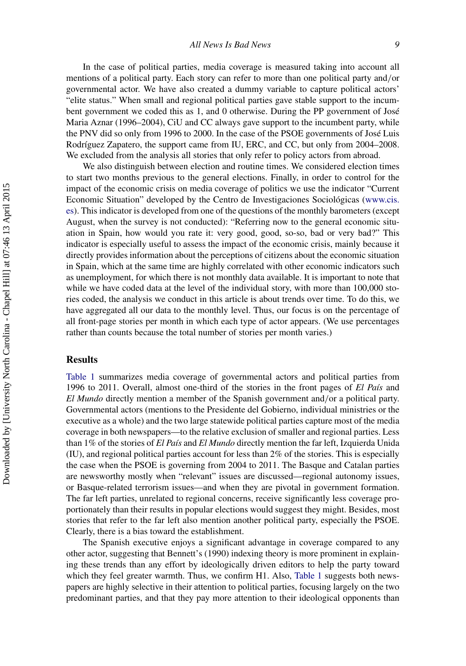In the case of political parties, media coverage is measured taking into account all mentions of a political party. Each story can refer to more than one political party and*/*or governmental actor. We have also created a dummy variable to capture political actors' "elite status." When small and regional political parties gave stable support to the incumbent government we coded this as 1, and 0 otherwise. During the PP government of José Maria Aznar (1996–2004), CiU and CC always gave support to the incumbent party, while the PNV did so only from 1996 to 2000. In the case of the PSOE governments of José Luis Rodríguez Zapatero, the support came from IU, ERC, and CC, but only from 2004–2008. We excluded from the analysis all stories that only refer to policy actors from abroad.

We also distinguish between election and routine times. We considered election times to start two months previous to the general elections. Finally, in order to control for the impact of the economic crisis on media coverage of politics we use the indicator "Current Economic Situation" developed by the Centro de Investigaciones Sociológicas (www.cis. es). This indicator is developed from one of the questions of the monthly barometers (except August, when the survey is not conducted): "Referring now to the general economic situation in Spain, how would you rate it: very good, good, so-so, bad or very bad?" This indicator is especially useful to assess the impact of the economic crisis, mainly because it directly provides information about the perceptions of citizens about the economic situation in Spain, which at the same time are highly correlated with other economic indicators such as unemployment, for which there is not monthly data available. It is important to note that while we have coded data at the level of the individual story, with more than 100,000 stories coded, the analysis we conduct in this article is about trends over time. To do this, we have aggregated all our data to the monthly level. Thus, our focus is on the percentage of all front-page stories per month in which each type of actor appears. (We use percentages rather than counts because the total number of stories per month varies.)

#### **Results**

[Table 1](#page-11-0) summarizes media coverage of governmental actors and political parties from 1996 to 2011. Overall, almost one-third of the stories in the front pages of *El País* and *El Mundo* directly mention a member of the Spanish government and*/*or a political party. Governmental actors (mentions to the Presidente del Gobierno, individual ministries or the executive as a whole) and the two large statewide political parties capture most of the media coverage in both newspapers—to the relative exclusion of smaller and regional parties. Less than 1% of the stories of *El País* and *El Mundo* directly mention the far left, Izquierda Unida (IU), and regional political parties account for less than 2% of the stories. This is especially the case when the PSOE is governing from 2004 to 2011. The Basque and Catalan parties are newsworthy mostly when "relevant" issues are discussed—regional autonomy issues, or Basque-related terrorism issues—and when they are pivotal in government formation. The far left parties, unrelated to regional concerns, receive significantly less coverage proportionately than their results in popular elections would suggest they might. Besides, most stories that refer to the far left also mention another political party, especially the PSOE. Clearly, there is a bias toward the establishment.

The Spanish executive enjoys a significant advantage in coverage compared to any other actor, suggesting that Bennett's (1990) indexing theory is more prominent in explaining these trends than any effort by ideologically driven editors to help the party toward which they feel greater warmth. Thus, we confirm H1. Also, [Table 1](#page-11-0) suggests both newspapers are highly selective in their attention to political parties, focusing largely on the two predominant parties, and that they pay more attention to their ideological opponents than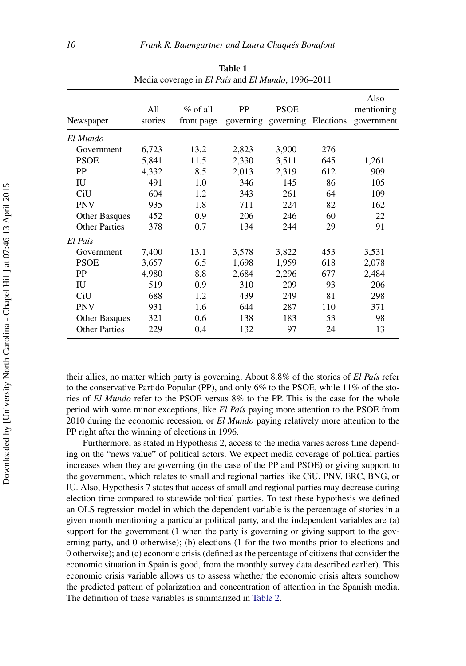| Newspaper            | All<br>stories | $\%$ of all<br>front page | PP    | <b>PSOE</b><br>governing governing Elections |     | Also<br>mentioning<br>government |
|----------------------|----------------|---------------------------|-------|----------------------------------------------|-----|----------------------------------|
| El Mundo             |                |                           |       |                                              |     |                                  |
| Government           | 6,723          | 13.2                      | 2,823 | 3,900                                        | 276 |                                  |
| <b>PSOE</b>          | 5,841          | 11.5                      | 2,330 | 3,511                                        | 645 | 1,261                            |
| <b>PP</b>            | 4,332          | 8.5                       | 2,013 | 2,319                                        | 612 | 909                              |
| IU                   | 491            | 1.0                       | 346   | 145                                          | 86  | 105                              |
| CiU                  | 604            | 1.2                       | 343   | 261                                          | 64  | 109                              |
| <b>PNV</b>           | 935            | 1.8                       | 711   | 224                                          | 82  | 162                              |
| <b>Other Basques</b> | 452            | 0.9                       | 206   | 246                                          | 60  | 22                               |
| <b>Other Parties</b> | 378            | 0.7                       | 134   | 244                                          | 29  | 91                               |
| El País              |                |                           |       |                                              |     |                                  |
| Government           | 7,400          | 13.1                      | 3,578 | 3,822                                        | 453 | 3,531                            |
| <b>PSOE</b>          | 3,657          | 6.5                       | 1,698 | 1,959                                        | 618 | 2,078                            |
| <b>PP</b>            | 4,980          | 8.8                       | 2,684 | 2,296                                        | 677 | 2,484                            |
| IU                   | 519            | 0.9                       | 310   | 209                                          | 93  | 206                              |
| CiU                  | 688            | 1.2                       | 439   | 249                                          | 81  | 298                              |
| <b>PNV</b>           | 931            | 1.6                       | 644   | 287                                          | 110 | 371                              |
| <b>Other Basques</b> | 321            | 0.6                       | 138   | 183                                          | 53  | 98                               |
| <b>Other Parties</b> | 229            | 0.4                       | 132   | 97                                           | 24  | 13                               |

<span id="page-11-0"></span>**Table 1** Media coverage in *El País* and *El Mundo*, 1996–2011

their allies, no matter which party is governing. About 8.8% of the stories of *El País* refer to the conservative Partido Popular (PP), and only 6% to the PSOE, while 11% of the stories of *El Mundo* refer to the PSOE versus 8% to the PP. This is the case for the whole period with some minor exceptions, like *El País* paying more attention to the PSOE from 2010 during the economic recession, or *El Mundo* paying relatively more attention to the PP right after the winning of elections in 1996.

Furthermore, as stated in Hypothesis 2, access to the media varies across time depending on the "news value" of political actors. We expect media coverage of political parties increases when they are governing (in the case of the PP and PSOE) or giving support to the government, which relates to small and regional parties like CiU, PNV, ERC, BNG, or IU. Also, Hypothesis 7 states that access of small and regional parties may decrease during election time compared to statewide political parties. To test these hypothesis we defined an OLS regression model in which the dependent variable is the percentage of stories in a given month mentioning a particular political party, and the independent variables are (a) support for the government (1 when the party is governing or giving support to the governing party, and 0 otherwise); (b) elections (1 for the two months prior to elections and 0 otherwise); and (c) economic crisis (defined as the percentage of citizens that consider the economic situation in Spain is good, from the monthly survey data described earlier). This economic crisis variable allows us to assess whether the economic crisis alters somehow the predicted pattern of polarization and concentration of attention in the Spanish media. The definition of these variables is summarized in [Table 2.](#page-12-0)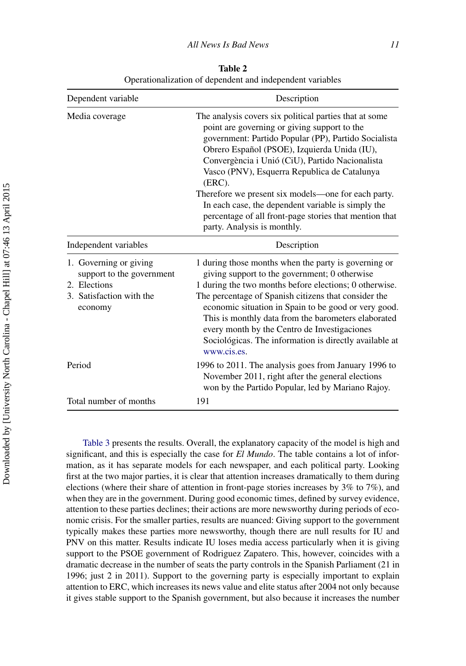| Dependent variable                                                                                         | Description                                                                                                                                                                                                                                                                                                                                                                                                                                                                                                                          |  |  |  |
|------------------------------------------------------------------------------------------------------------|--------------------------------------------------------------------------------------------------------------------------------------------------------------------------------------------------------------------------------------------------------------------------------------------------------------------------------------------------------------------------------------------------------------------------------------------------------------------------------------------------------------------------------------|--|--|--|
| Media coverage                                                                                             | The analysis covers six political parties that at some<br>point are governing or giving support to the<br>government: Partido Popular (PP), Partido Socialista<br>Obrero Español (PSOE), Izquierda Unida (IU),<br>Convergència i Unió (CiU), Partido Nacionalista<br>Vasco (PNV), Esquerra Republica de Catalunya<br>$(ERC)$ .<br>Therefore we present six models—one for each party.<br>In each case, the dependent variable is simply the<br>percentage of all front-page stories that mention that<br>party. Analysis is monthly. |  |  |  |
| Independent variables                                                                                      | Description                                                                                                                                                                                                                                                                                                                                                                                                                                                                                                                          |  |  |  |
| 1. Governing or giving<br>support to the government<br>2. Elections<br>3. Satisfaction with the<br>economy | 1 during those months when the party is governing or<br>giving support to the government; 0 otherwise<br>1 during the two months before elections; 0 otherwise.<br>The percentage of Spanish citizens that consider the<br>economic situation in Spain to be good or very good.<br>This is monthly data from the barometers elaborated<br>every month by the Centro de Investigaciones<br>Sociológicas. The information is directly available at<br>www.cis.es.                                                                      |  |  |  |
| Period                                                                                                     | 1996 to 2011. The analysis goes from January 1996 to<br>November 2011, right after the general elections<br>won by the Partido Popular, led by Mariano Rajoy.                                                                                                                                                                                                                                                                                                                                                                        |  |  |  |
| Total number of months                                                                                     | 191                                                                                                                                                                                                                                                                                                                                                                                                                                                                                                                                  |  |  |  |

<span id="page-12-0"></span>**Table 2** Operationalization of dependent and independent variables

[Table 3](#page-13-0) presents the results. Overall, the explanatory capacity of the model is high and significant, and this is especially the case for *El Mundo*. The table contains a lot of information, as it has separate models for each newspaper, and each political party. Looking first at the two major parties, it is clear that attention increases dramatically to them during elections (where their share of attention in front-page stories increases by 3% to 7%), and when they are in the government. During good economic times, defined by survey evidence, attention to these parties declines; their actions are more newsworthy during periods of economic crisis. For the smaller parties, results are nuanced: Giving support to the government typically makes these parties more newsworthy, though there are null results for IU and PNV on this matter. Results indicate IU loses media access particularly when it is giving support to the PSOE government of Rodriguez Zapatero. This, however, coincides with a dramatic decrease in the number of seats the party controls in the Spanish Parliament (21 in 1996; just 2 in 2011). Support to the governing party is especially important to explain attention to ERC, which increases its news value and elite status after 2004 not only because it gives stable support to the Spanish government, but also because it increases the number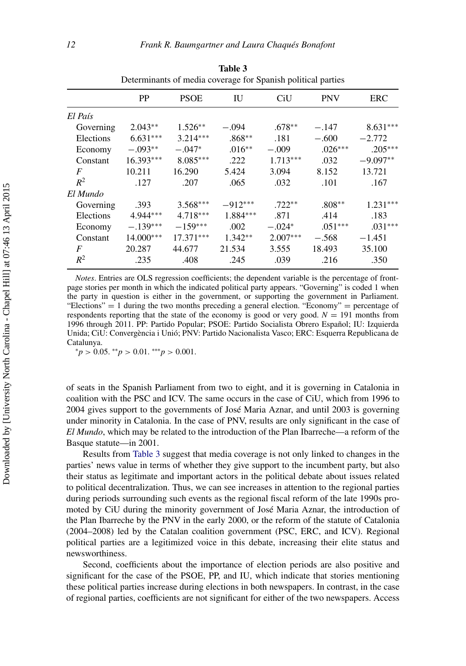| Determinants of media coverage for Spanish pontical parties |             |             |              |            |            |            |
|-------------------------------------------------------------|-------------|-------------|--------------|------------|------------|------------|
|                                                             | <b>PP</b>   | <b>PSOE</b> | $\mathbf{H}$ | CiU        | <b>PNV</b> | ERC        |
| El País                                                     |             |             |              |            |            |            |
| Governing                                                   | $2.043**$   | $1.526**$   | $-.094$      | $.678**$   | $-.147$    | $8.631***$ |
| Elections                                                   | $6.631***$  | $3.214***$  | $.868**$     | .181       | $-.600$    | $-2.772$   |
| Economy                                                     | $-.093**$   | $-.047*$    | $.016**$     | $-.009$    | $.026***$  | $.205***$  |
| Constant                                                    | $16.393***$ | $8.085***$  | .222         | $1.713***$ | .032       | $-9.097**$ |
| F                                                           | 10.211      | 16.290      | 5.424        | 3.094      | 8.152      | 13.721     |
| $R^2$                                                       | .127        | .207        | .065         | .032       | .101       | .167       |
| El Mundo                                                    |             |             |              |            |            |            |
| Governing                                                   | .393        | $3.568***$  | $-912***$    | $.722**$   | $.808**$   | $1.231***$ |
| Elections                                                   | 4.944***    | $4.718***$  | 1.884***     | .871       | .414       | .183       |
| Economy                                                     | $-.139***$  | $-159***$   | .002         | $-.024*$   | $.051***$  | $.031***$  |
| Constant                                                    | $14.000***$ | $17.371***$ | $1.342**$    | $2.007***$ | $-.568$    | $-1.451$   |
| F                                                           | 20.287      | 44.677      | 21.534       | 3.555      | 18.493     | 35.100     |
| $R^2$                                                       | .235        | .408        | .245         | .039       | .216       | .350       |

<span id="page-13-0"></span>**Table 3** Determinants of media coverage for Spanish political parties

*Notes*. Entries are OLS regression coefficients; the dependent variable is the percentage of frontpage stories per month in which the indicated political party appears. "Governing" is coded 1 when the party in question is either in the government, or supporting the government in Parliament. "Elections"  $= 1$  during the two months preceding a general election. "Economy"  $=$  percentage of respondents reporting that the state of the economy is good or very good.  $N = 191$  months from 1996 through 2011. PP: Partido Popular; PSOE: Partido Socialista Obrero Español; IU: Izquierda Unida; CiU: Convergència i Unió; PNV: Partido Nacionalista Vasco; ERC: Esquerra Republicana de Catalunya.

<sup>∗</sup>*p >* 0.05. ∗∗*p >* 0.01. ∗∗∗*p >* 0.001.

of seats in the Spanish Parliament from two to eight, and it is governing in Catalonia in coalition with the PSC and ICV. The same occurs in the case of CiU, which from 1996 to 2004 gives support to the governments of José Maria Aznar, and until 2003 is governing under minority in Catalonia. In the case of PNV, results are only significant in the case of *El Mundo*, which may be related to the introduction of the Plan Ibarreche—a reform of the Basque statute—in 2001.

Results from [Table 3](#page-13-0) suggest that media coverage is not only linked to changes in the parties' news value in terms of whether they give support to the incumbent party, but also their status as legitimate and important actors in the political debate about issues related to political decentralization. Thus, we can see increases in attention to the regional parties during periods surrounding such events as the regional fiscal reform of the late 1990s promoted by CiU during the minority government of José Maria Aznar, the introduction of the Plan Ibarreche by the PNV in the early 2000, or the reform of the statute of Catalonia (2004–2008) led by the Catalan coalition government (PSC, ERC, and ICV). Regional political parties are a legitimized voice in this debate, increasing their elite status and newsworthiness.

Second, coefficients about the importance of election periods are also positive and significant for the case of the PSOE, PP, and IU, which indicate that stories mentioning these political parties increase during elections in both newspapers. In contrast, in the case of regional parties, coefficients are not significant for either of the two newspapers. Access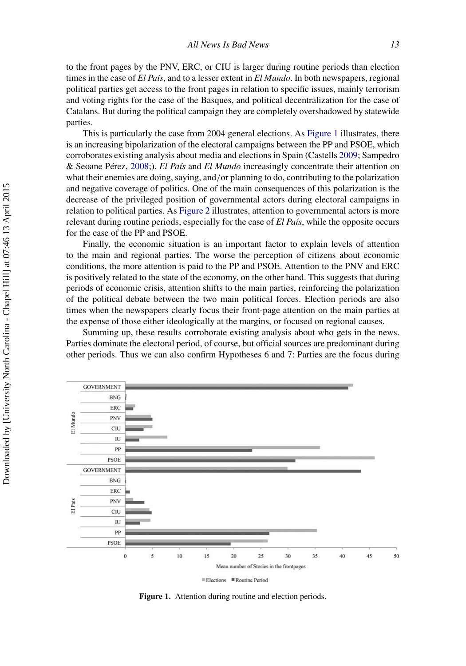to the front pages by the PNV, ERC, or CIU is larger during routine periods than election times in the case of *El País*, and to a lesser extent in *El Mundo*. In both newspapers, regional political parties get access to the front pages in relation to specific issues, mainly terrorism and voting rights for the case of the Basques, and political decentralization for the case of Catalans. But during the political campaign they are completely overshadowed by statewide parties.

This is particularly the case from 2004 general elections. As [Figure 1](#page-14-0) illustrates, there is an increasing bipolarization of the electoral campaigns between the PP and PSOE, which corroborates existing analysis about media and elections in Spain (Castells [2009;](#page-23-4) Sampedro & Seoane Pérez, [2008;](#page-24-4)). *El País* and *El Mundo* increasingly concentrate their attention on what their enemies are doing, saying, and*/*or planning to do, contributing to the polarization and negative coverage of politics. One of the main consequences of this polarization is the decrease of the privileged position of governmental actors during electoral campaigns in relation to political parties. As [Figure 2](#page-15-0) illustrates, attention to governmental actors is more relevant during routine periods, especially for the case of *El País*, while the opposite occurs for the case of the PP and PSOE.

Finally, the economic situation is an important factor to explain levels of attention to the main and regional parties. The worse the perception of citizens about economic conditions, the more attention is paid to the PP and PSOE. Attention to the PNV and ERC is positively related to the state of the economy, on the other hand. This suggests that during periods of economic crisis, attention shifts to the main parties, reinforcing the polarization of the political debate between the two main political forces. Election periods are also times when the newspapers clearly focus their front-page attention on the main parties at the expense of those either ideologically at the margins, or focused on regional causes.

Summing up, these results corroborate existing analysis about who gets in the news. Parties dominate the electoral period, of course, but official sources are predominant during other periods. Thus we can also confirm Hypotheses 6 and 7: Parties are the focus during

<span id="page-14-0"></span>

**Figure 1.** Attention during routine and election periods.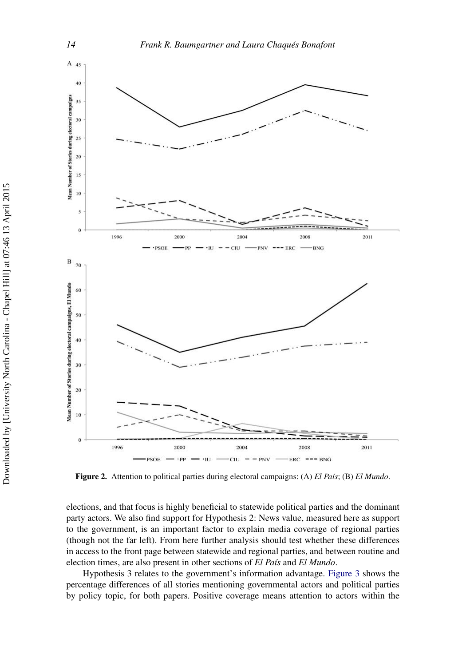<span id="page-15-0"></span>

**Figure 2.** Attention to political parties during electoral campaigns: (A) *El País*; (B) *El Mundo*.

elections, and that focus is highly beneficial to statewide political parties and the dominant party actors. We also find support for Hypothesis 2: News value, measured here as support to the government, is an important factor to explain media coverage of regional parties (though not the far left). From here further analysis should test whether these differences in access to the front page between statewide and regional parties, and between routine and election times, are also present in other sections of *El País* and *El Mundo*.

Hypothesis 3 relates to the government's information advantage. [Figure 3](#page-16-0) shows the percentage differences of all stories mentioning governmental actors and political parties by policy topic, for both papers. Positive coverage means attention to actors within the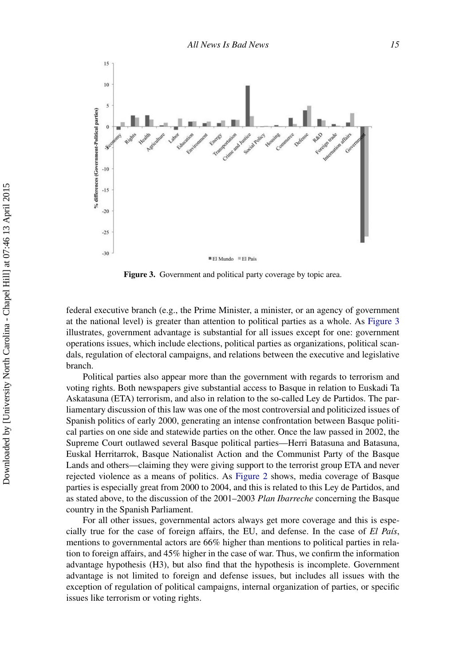<span id="page-16-0"></span>

**Figure 3.** Government and political party coverage by topic area.

federal executive branch (e.g., the Prime Minister, a minister, or an agency of government at the national level) is greater than attention to political parties as a whole. As [Figure 3](#page-16-0) illustrates, government advantage is substantial for all issues except for one: government operations issues, which include elections, political parties as organizations, political scandals, regulation of electoral campaigns, and relations between the executive and legislative branch.

Political parties also appear more than the government with regards to terrorism and voting rights. Both newspapers give substantial access to Basque in relation to Euskadi Ta Askatasuna (ETA) terrorism, and also in relation to the so-called Ley de Partidos. The parliamentary discussion of this law was one of the most controversial and politicized issues of Spanish politics of early 2000, generating an intense confrontation between Basque political parties on one side and statewide parties on the other. Once the law passed in 2002, the Supreme Court outlawed several Basque political parties—Herri Batasuna and Batasuna, Euskal Herritarrok, Basque Nationalist Action and the Communist Party of the Basque Lands and others—claiming they were giving support to the terrorist group ETA and never rejected violence as a means of politics. As [Figure 2](#page-15-0) shows, media coverage of Basque parties is especially great from 2000 to 2004, and this is related to this Ley de Partidos, and as stated above, to the discussion of the 2001–2003 *Plan Ibarreche* concerning the Basque country in the Spanish Parliament.

For all other issues, governmental actors always get more coverage and this is especially true for the case of foreign affairs, the EU, and defense. In the case of *El País*, mentions to governmental actors are 66% higher than mentions to political parties in relation to foreign affairs, and 45% higher in the case of war. Thus, we confirm the information advantage hypothesis (H3), but also find that the hypothesis is incomplete. Government advantage is not limited to foreign and defense issues, but includes all issues with the exception of regulation of political campaigns, internal organization of parties, or specific issues like terrorism or voting rights.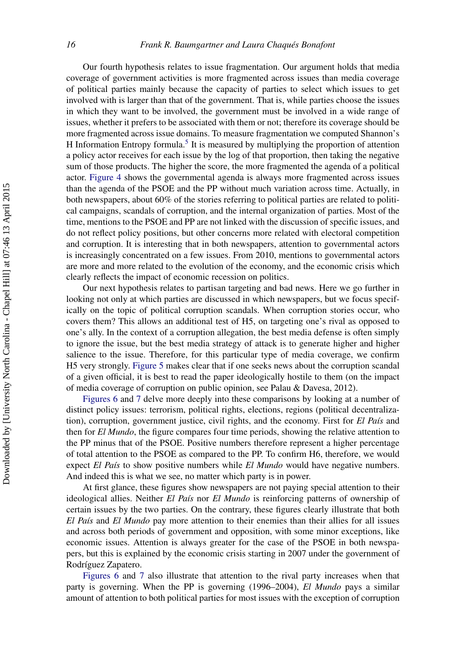Our fourth hypothesis relates to issue fragmentation. Our argument holds that media coverage of government activities is more fragmented across issues than media coverage of political parties mainly because the capacity of parties to select which issues to get involved with is larger than that of the government. That is, while parties choose the issues in which they want to be involved, the government must be involved in a wide range of issues, whether it prefers to be associated with them or not; therefore its coverage should be more fragmented across issue domains. To measure fragmentation we computed Shannon's H Information Entropy formula.<sup>[5](#page-22-9)</sup> It is measured by multiplying the proportion of attention a policy actor receives for each issue by the log of that proportion, then taking the negative sum of those products. The higher the score, the more fragmented the agenda of a political actor. [Figure 4](#page-18-0) shows the governmental agenda is always more fragmented across issues than the agenda of the PSOE and the PP without much variation across time. Actually, in both newspapers, about 60% of the stories referring to political parties are related to political campaigns, scandals of corruption, and the internal organization of parties. Most of the time, mentions to the PSOE and PP are not linked with the discussion of specific issues, and do not reflect policy positions, but other concerns more related with electoral competition and corruption. It is interesting that in both newspapers, attention to governmental actors is increasingly concentrated on a few issues. From 2010, mentions to governmental actors are more and more related to the evolution of the economy, and the economic crisis which clearly reflects the impact of economic recession on politics.

Our next hypothesis relates to partisan targeting and bad news. Here we go further in looking not only at which parties are discussed in which newspapers, but we focus specifically on the topic of political corruption scandals. When corruption stories occur, who covers them? This allows an additional test of H5, on targeting one's rival as opposed to one's ally. In the context of a corruption allegation, the best media defense is often simply to ignore the issue, but the best media strategy of attack is to generate higher and higher salience to the issue. Therefore, for this particular type of media coverage, we confirm H5 very strongly. [Figure 5](#page-19-0) makes clear that if one seeks news about the corruption scandal of a given official, it is best to read the paper ideologically hostile to them (on the impact of media coverage of corruption on public opinion, see Palau & Davesa, 2012).

[Figures 6](#page-20-0) and [7](#page-21-0) delve more deeply into these comparisons by looking at a number of distinct policy issues: terrorism, political rights, elections, regions (political decentralization), corruption, government justice, civil rights, and the economy. First for *El País* and then for *El Mundo*, the figure compares four time periods, showing the relative attention to the PP minus that of the PSOE. Positive numbers therefore represent a higher percentage of total attention to the PSOE as compared to the PP. To confirm H6, therefore, we would expect *El País* to show positive numbers while *El Mundo* would have negative numbers. And indeed this is what we see, no matter which party is in power.

At first glance, these figures show newspapers are not paying special attention to their ideological allies. Neither *El País* nor *El Mundo* is reinforcing patterns of ownership of certain issues by the two parties. On the contrary, these figures clearly illustrate that both *El País* and *El Mundo* pay more attention to their enemies than their allies for all issues and across both periods of government and opposition, with some minor exceptions, like economic issues. Attention is always greater for the case of the PSOE in both newspapers, but this is explained by the economic crisis starting in 2007 under the government of Rodríguez Zapatero.

[Figures 6](#page-20-0) and [7](#page-21-0) also illustrate that attention to the rival party increases when that party is governing. When the PP is governing (1996–2004), *El Mundo* pays a similar amount of attention to both political parties for most issues with the exception of corruption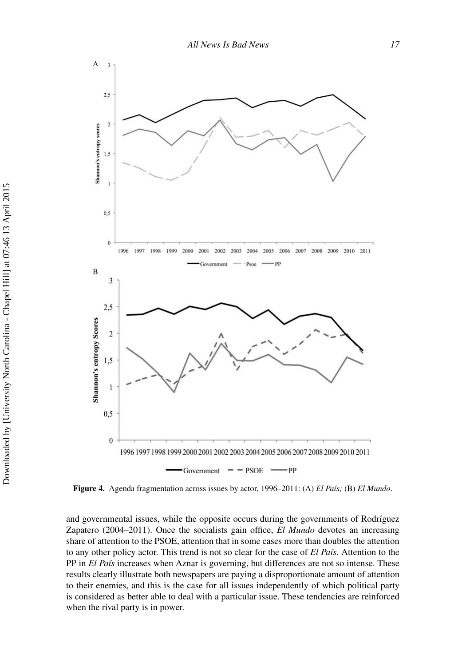<span id="page-18-0"></span>

**Figure 4.** Agenda fragmentation across issues by actor, 1996–2011: (A) *El País;* (B) *El Mundo*.

and governmental issues, while the opposite occurs during the governments of Rodríguez Zapatero (2004–2011). Once the socialists gain office, *El Mundo* devotes an increasing share of attention to the PSOE, attention that in some cases more than doubles the attention to any other policy actor. This trend is not so clear for the case of *El País*. Attention to the PP in *El País* increases when Aznar is governing, but differences are not so intense. These results clearly illustrate both newspapers are paying a disproportionate amount of attention to their enemies, and this is the case for all issues independently of which political party is considered as better able to deal with a particular issue. These tendencies are reinforced when the rival party is in power.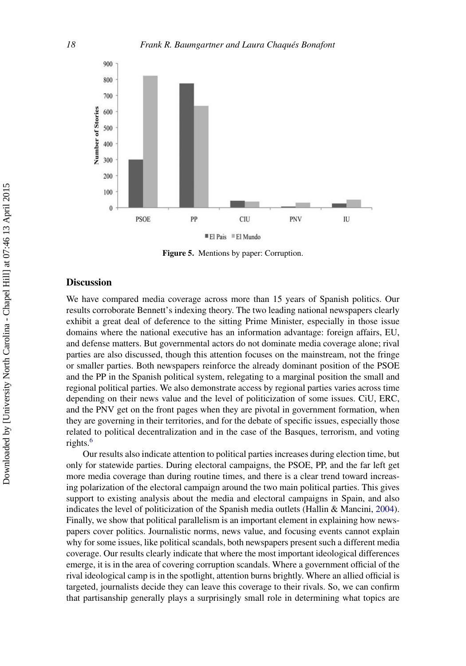<span id="page-19-0"></span>

**Figure 5.** Mentions by paper: Corruption.

#### **Discussion**

We have compared media coverage across more than 15 years of Spanish politics. Our results corroborate Bennett's indexing theory. The two leading national newspapers clearly exhibit a great deal of deference to the sitting Prime Minister, especially in those issue domains where the national executive has an information advantage: foreign affairs, EU, and defense matters. But governmental actors do not dominate media coverage alone; rival parties are also discussed, though this attention focuses on the mainstream, not the fringe or smaller parties. Both newspapers reinforce the already dominant position of the PSOE and the PP in the Spanish political system, relegating to a marginal position the small and regional political parties. We also demonstrate access by regional parties varies across time depending on their news value and the level of politicization of some issues. CiU, ERC, and the PNV get on the front pages when they are pivotal in government formation, when they are governing in their territories, and for the debate of specific issues, especially those related to political decentralization and in the case of the Basques, terrorism, and voting rights. $6$ 

Our results also indicate attention to political parties increases during election time, but only for statewide parties. During electoral campaigns, the PSOE, PP, and the far left get more media coverage than during routine times, and there is a clear trend toward increasing polarization of the electoral campaign around the two main political parties. This gives support to existing analysis about the media and electoral campaigns in Spain, and also indicates the level of politicization of the Spanish media outlets (Hallin & Mancini, [2004\)](#page-23-2). Finally, we show that political parallelism is an important element in explaining how newspapers cover politics. Journalistic norms, news value, and focusing events cannot explain why for some issues, like political scandals, both newspapers present such a different media coverage. Our results clearly indicate that where the most important ideological differences emerge, it is in the area of covering corruption scandals. Where a government official of the rival ideological camp is in the spotlight, attention burns brightly. Where an allied official is targeted, journalists decide they can leave this coverage to their rivals. So, we can confirm that partisanship generally plays a surprisingly small role in determining what topics are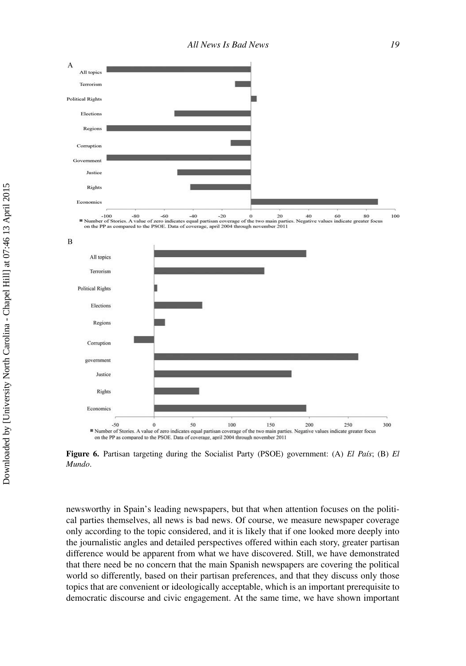<span id="page-20-0"></span>

**Figure 6.** Partisan targeting during the Socialist Party (PSOE) government: (A) *El País*; (B) *El Mundo*.

newsworthy in Spain's leading newspapers, but that when attention focuses on the political parties themselves, all news is bad news. Of course, we measure newspaper coverage only according to the topic considered, and it is likely that if one looked more deeply into the journalistic angles and detailed perspectives offered within each story, greater partisan difference would be apparent from what we have discovered. Still, we have demonstrated that there need be no concern that the main Spanish newspapers are covering the political world so differently, based on their partisan preferences, and that they discuss only those topics that are convenient or ideologically acceptable, which is an important prerequisite to democratic discourse and civic engagement. At the same time, we have shown important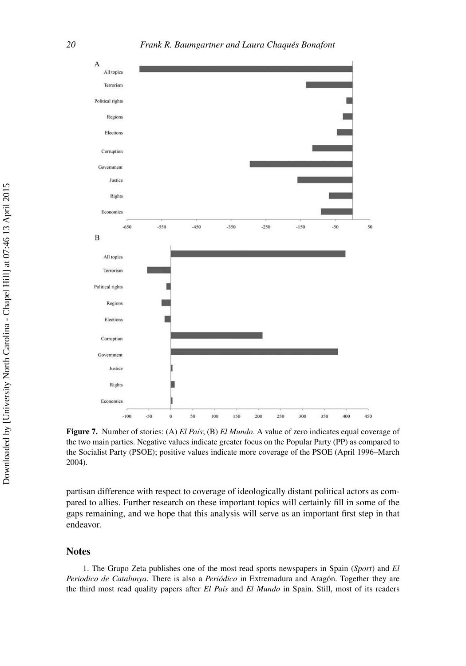<span id="page-21-0"></span>

**Figure 7.** Number of stories: (A) *El País*; (B) *El Mundo*. A value of zero indicates equal coverage of the two main parties. Negative values indicate greater focus on the Popular Party (PP) as compared to the Socialist Party (PSOE); positive values indicate more coverage of the PSOE (April 1996–March 2004).

partisan difference with respect to coverage of ideologically distant political actors as compared to allies. Further research on these important topics will certainly fill in some of the gaps remaining, and we hope that this analysis will serve as an important first step in that endeavor.

#### **Notes**

1. The Grupo Zeta publishes one of the most read sports newspapers in Spain (*Sport*) and *El Periodico de Catalunya*. There is also a *Periódico* in Extremadura and Aragón. Together they are the third most read quality papers after *El País* and *El Mundo* in Spain. Still, most of its readers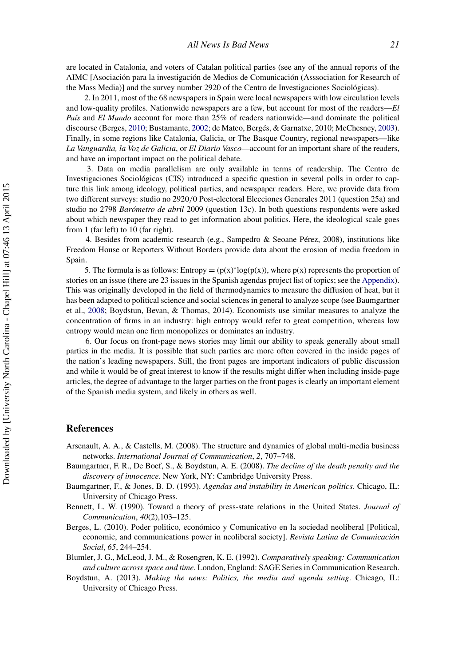are located in Catalonia, and voters of Catalan political parties (see any of the annual reports of the AIMC [Asociación para la investigación de Medios de Comunicación (Asssociation for Research of the Mass Media)] and the survey number 2920 of the Centro de Investigaciones Sociológicas).

<span id="page-22-5"></span>2. In 2011, most of the 68 newspapers in Spain were local newspapers with low circulation levels and low-quality profiles. Nationwide newspapers are a few, but account for most of the readers—*El País* and *El Mundo* account for more than 25% of readers nationwide—and dominate the political discourse (Berges, [2010;](#page-22-11) Bustamante, [2002;](#page-23-6) de Mateo, Bergés, & Garnatxe, 2010; McChesney, [2003\)](#page-24-10). Finally, in some regions like Catalonia, Galicia, or The Basque Country, regional newspapers—like *La Vanguardia, la Voz de Galicia*, or *El Diario Vasco*—account for an important share of the readers, and have an important impact on the political debate.

<span id="page-22-6"></span>3. Data on media parallelism are only available in terms of readership. The Centro de Investigaciones Sociológicas (CIS) introduced a specific question in several polls in order to capture this link among ideology, political parties, and newspaper readers. Here, we provide data from two different surveys: studio no 2920*/*0 Post-electoral Elecciones Generales 2011 (question 25a) and studio no 2798 *Barómetro de abril* 2009 (question 13c). In both questions respondents were asked about which newspaper they read to get information about politics. Here, the ideological scale goes from 1 (far left) to 10 (far right).

<span id="page-22-7"></span>4. Besides from academic research (e.g., Sampedro & Seoane Pérez, 2008), institutions like Freedom House or Reporters Without Borders provide data about the erosion of media freedom in Spain.

<span id="page-22-8"></span>5. The formula is as follows: Entropy =  $(p(x)^*log(p(x))$ , where  $p(x)$  represents the proportion of stories on an issue (there are 23 issues in the Spanish agendas project list of topics; see the [Appendix\)](#page-25-0). This was originally developed in the field of thermodynamics to measure the diffusion of heat, but it has been adapted to political science and social sciences in general to analyze scope (see Baumgartner et al., [2008;](#page-22-3) Boydstun, Bevan, & Thomas, 2014). Economists use similar measures to analyze the concentration of firms in an industry: high entropy would refer to great competition, whereas low entropy would mean one firm monopolizes or dominates an industry.

<span id="page-22-9"></span>6. Our focus on front-page news stories may limit our ability to speak generally about small parties in the media. It is possible that such parties are more often covered in the inside pages of the nation's leading newspapers. Still, the front pages are important indicators of public discussion and while it would be of great interest to know if the results might differ when including inside-page articles, the degree of advantage to the larger parties on the front pages is clearly an important element of the Spanish media system, and likely in others as well.

#### <span id="page-22-10"></span>**References**

- <span id="page-22-2"></span>Arsenault, A. A., & Castells, M. (2008). The structure and dynamics of global multi-media business networks. *International Journal of Communication*, *2*, 707–748.
- <span id="page-22-3"></span>Baumgartner, F. R., De Boef, S., & Boydstun, A. E. (2008). *The decline of the death penalty and the discovery of innocence*. New York, NY: Cambridge University Press.
- Baumgartner, F., & Jones, B. D. (1993). *Agendas and instability in American politics*. Chicago, IL: University of Chicago Press.
- <span id="page-22-0"></span>Bennett, L. W. (1990). Toward a theory of press-state relations in the United States. *Journal of Communication*, *40*(2),103–125.
- <span id="page-22-11"></span>Berges, L. (2010). Poder politico, económico y Comunicativo en la sociedad neoliberal [Political, economic, and communications power in neoliberal society]. *Revista Latina de Comunicación Social*, *65*, 244–254.
- <span id="page-22-1"></span>Blumler, J. G., McLeod, J. M., & Rosengren, K. E. (1992). *Comparatively speaking: Communication and culture across space and time*. London, England: SAGE Series in Communication Research.
- <span id="page-22-4"></span>Boydstun, A. (2013). *Making the news: Politics, the media and agenda setting*. Chicago, IL: University of Chicago Press.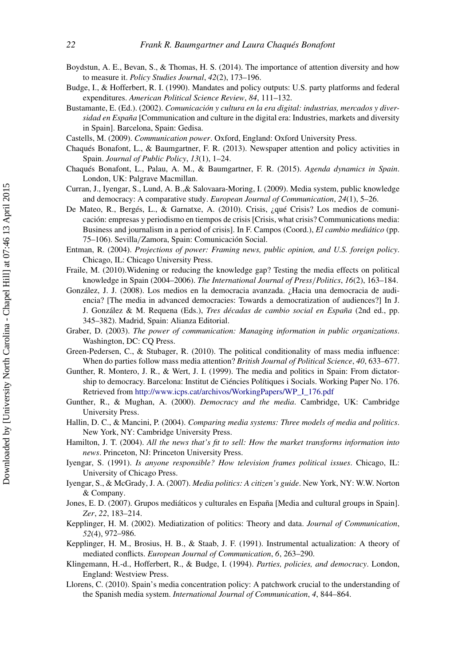- Boydstun, A. E., Bevan, S., & Thomas, H. S. (2014). The importance of attention diversity and how to measure it. *Policy Studies Journal*, *42*(2), 173–196.
- <span id="page-23-19"></span>Budge, I., & Hofferbert, R. I. (1990). Mandates and policy outputs: U.S. party platforms and federal expenditures. *American Political Science Review*, *84*, 111–132.
- <span id="page-23-6"></span>Bustamante, E. (Ed.). (2002). *Comunicación y cultura en la era digital: industrias, mercados y diversidad en España* [Communication and culture in the digital era: Industries, markets and diversity in Spain]. Barcelona, Spain: Gedisa.
- <span id="page-23-4"></span>Castells, M. (2009). *Communication power*. Oxford, England: Oxford University Press.
- <span id="page-23-10"></span>Chaqués Bonafont, L., & Baumgartner, F. R. (2013). Newspaper attention and policy activities in Spain. *Journal of Public Policy*, *13*(1), 1–24.
- <span id="page-23-11"></span>Chaqués Bonafont, L., Palau, A. M., & Baumgartner, F. R. (2015). *Agenda dynamics in Spain*. London, UK: Palgrave Macmillan.
- <span id="page-23-15"></span>Curran, J., Iyengar, S., Lund, A. B.,& Salovaara-Moring, I. (2009). Media system, public knowledge and democracy: A comparative study. *European Journal of Communication*, *24*(1), 5–26.
- De Mateo, R., Bergés, L., & Garnatxe, A. (2010). Crisis, ¿qué Crisis? Los medios de comunicación: empresas y periodismo en tiempos de crisis [Crisis, what crisis? Communications media: Business and journalism in a period of crisis]. In F. Campos (Coord.), *El cambio mediático* (pp. 75–106). Sevilla*/*Zamora, Spain: Comunicación Social.
- <span id="page-23-13"></span>Entman, R. (2004). *Projections of power: Framing news, public opinion, and U.S. foreign policy*. Chicago, IL: Chicago University Press.
- <span id="page-23-3"></span>Fraile, M. (2010).Widening or reducing the knowledge gap? Testing the media effects on political knowledge in Spain (2004–2006). *The International Journal of Press/Politics*, *16*(2), 163–184.
- <span id="page-23-21"></span>González, J. J. (2008). Los medios en la democracia avanzada. ¿Hacia una democracia de audiencia? [The media in advanced democracies: Towards a democratization of audiences?] In J. J. González & M. Requena (Eds.), *Tres décadas de cambio social en España* (2nd ed., pp. 345–382). Madrid, Spain: Alianza Editorial.
- <span id="page-23-0"></span>Graber, D. (2003). *The power of communication: Managing information in public organizations*. Washington, DC: CQ Press.
- <span id="page-23-18"></span>Green-Pedersen, C., & Stubager, R. (2010). The political conditionality of mass media influence: When do parties follow mass media attention? *British Journal of Political Science*, *40*, 633–677.
- <span id="page-23-12"></span>Gunther, R. Montero, J. R., & Wert, J. I. (1999). The media and politics in Spain: From dictatorship to democracy. Barcelona: Institut de Ciéncies Polítiques i Socials. Working Paper No. 176. Retrieved from [http://www.icps.cat/archivos/WorkingPapers/WP\\_I\\_176.pdf](http://www.icps.cat/archivos/WorkingPapers/WP_I_176.pdf)
- <span id="page-23-7"></span>Gunther, R., & Mughan, A. (2000). *Democracy and the media*. Cambridge, UK: Cambridge University Press.
- <span id="page-23-2"></span>Hallin, D. C., & Mancini, P. (2004). *Comparing media systems: Three models of media and politics*. New York, NY: Cambridge University Press.
- <span id="page-23-14"></span>Hamilton, J. T. (2004). *All the news that's fit to sell: How the market transforms information into news*. Princeton, NJ: Princeton University Press.
- <span id="page-23-5"></span>Iyengar, S. (1991). *Is anyone responsible? How television frames political issues*. Chicago, IL: University of Chicago Press.
- <span id="page-23-1"></span>Iyengar, S., & McGrady, J. A. (2007). *Media politics: A citizen's guide*. New York, NY: W.W. Norton & Company.
- <span id="page-23-8"></span>Jones, E. D. (2007). Grupos mediáticos y culturales en España [Media and cultural groups in Spain]. *Zer*, *22*, 183–214.
- <span id="page-23-16"></span>Kepplinger, H. M. (2002). Mediatization of politics: Theory and data. *Journal of Communication*, *52*(4), 972–986.
- <span id="page-23-17"></span>Kepplinger, H. M., Brosius, H. B., & Staab, J. F. (1991). Instrumental actualization: A theory of mediated conflicts. *European Journal of Communication*, *6*, 263–290.
- <span id="page-23-20"></span>Klingemann, H.-d., Hofferbert, R., & Budge, I. (1994). *Parties, policies, and democracy*. London, England: Westview Press.
- <span id="page-23-9"></span>Llorens, C. (2010). Spain's media concentration policy: A patchwork crucial to the understanding of the Spanish media system. *International Journal of Communication*, *4*, 844–864.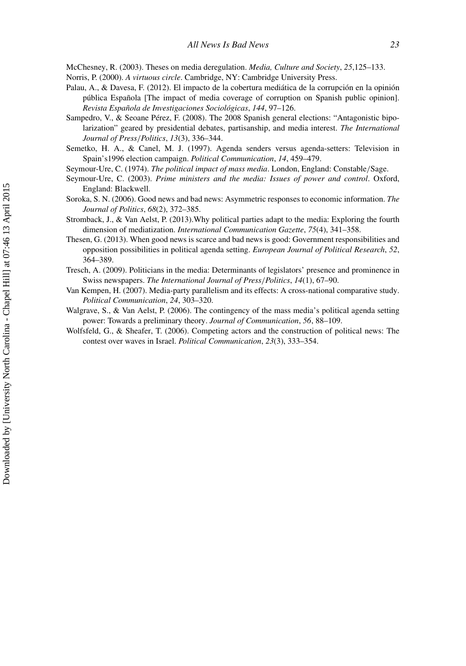<span id="page-24-10"></span>McChesney, R. (2003). Theses on media deregulation. *Media, Culture and Society*, *25*,125–133.

- <span id="page-24-1"></span>Norris, P. (2000). *A virtuous circle*. Cambridge, NY: Cambridge University Press.
- Palau, A., & Davesa, F. (2012). El impacto de la cobertura mediática de la corrupción en la opinión pública Española [The impact of media coverage of corruption on Spanish public opinion]. *Revista Española de Investigaciones Sociológicas*, *144*, 97–126.
- <span id="page-24-4"></span>Sampedro, V., & Seoane Pérez, F. (2008). The 2008 Spanish general elections: "Antagonistic bipolarization" geared by presidential debates, partisanship, and media interest. *The International Journal of Press/Politics*, *13*(3), 336–344.
- Semetko, H. A., & Canel, M. J. (1997). Agenda senders versus agenda-setters: Television in Spain's1996 election campaign. *Political Communication*, *14*, 459–479.
- <span id="page-24-2"></span>Seymour-Ure, C. (1974). *The political impact of mass media*. London, England: Constable*/*Sage.
- <span id="page-24-3"></span>Seymour-Ure, C. (2003). *Prime ministers and the media: Issues of power and control*. Oxford, England: Blackwell.
- <span id="page-24-9"></span>Soroka, S. N. (2006). Good news and bad news: Asymmetric responses to economic information. *The Journal of Politics*, *68*(2), 372–385.
- <span id="page-24-6"></span>Stromback, J., & Van Aelst, P. (2013).Why political parties adapt to the media: Exploring the fourth dimension of mediatization. *International Communication Gazette*, *75*(4), 341–358.
- <span id="page-24-8"></span>Thesen, G. (2013). When good news is scarce and bad news is good: Government responsibilities and opposition possibilities in political agenda setting. *European Journal of Political Research*, *52*, 364–389.
- <span id="page-24-5"></span>Tresch, A. (2009). Politicians in the media: Determinants of legislators' presence and prominence in Swiss newspapers. *The International Journal of Press/Politics*, *14*(1), 67–90.
- Van Kempen, H. (2007). Media-party parallelism and its effects: A cross-national comparative study. *Political Communication*, *24*, 303–320.
- <span id="page-24-0"></span>Walgrave, S., & Van Aelst, P. (2006). The contingency of the mass media's political agenda setting power: Towards a preliminary theory. *Journal of Communication*, *56*, 88–109.
- <span id="page-24-7"></span>Wolfsfeld, G., & Sheafer, T. (2006). Competing actors and the construction of political news: The contest over waves in Israel. *Political Communication*, *23*(3), 333–354.